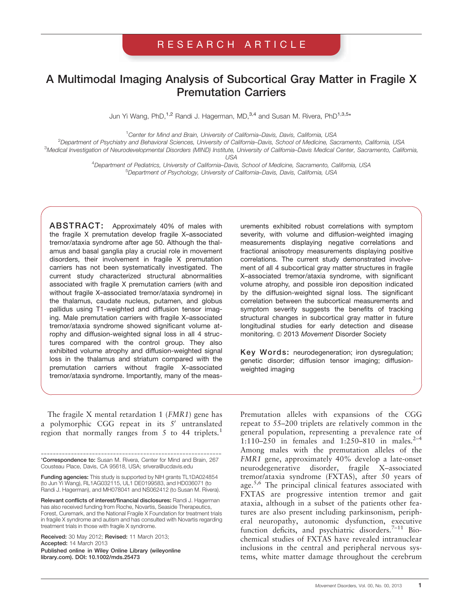# RESEARCH ARTICLE

# A Multimodal Imaging Analysis of Subcortical Gray Matter in Fragile X Premutation Carriers

Jun Yi Wang, PhD,<sup>1,2</sup> Randi J. Hagerman, MD,<sup>3,4</sup> and Susan M. Rivera, PhD<sup>1,3,5</sup>\*

<sup>1</sup>Center for Mind and Brain, University of California-Davis, Davis, California, USA

<sup>2</sup> Department of Psychiatry and Behavioral Sciences, University of California–Davis, School of Medicine, Sacramento, California, USA<br><sup>3</sup> Medical Investigation of Neurodevelopmental Disorders (MIND) Institute, University o

<sup>3</sup>Medical Investigation of Neurodevelopmental Disorders (MIND) Institute, University of California–Davis Medical Center, Sacramento, California,<br>USA

USA <sup>4</sup> Department of Pediatrics, University of California–Davis, School of Medicine, Sacramento, California, USA <sup>5</sup>Department of Psychology, University of California-Davis, Davis, California, USA

ABSTRACT: Approximately 40% of males with the fragile X premutation develop fragile X–associated tremor/ataxia syndrome after age 50. Although the thalamus and basal ganglia play a crucial role in movement disorders, their involvement in fragile X premutation carriers has not been systematically investigated. The current study characterized structural abnormalities associated with fragile X premutation carriers (with and without fragile X–associated tremor/ataxia syndrome) in the thalamus, caudate nucleus, putamen, and globus pallidus using T1-weighted and diffusion tensor imaging. Male premutation carriers with fragile X–associated tremor/ataxia syndrome showed significant volume atrophy and diffusion-weighted signal loss in all 4 structures compared with the control group. They also exhibited volume atrophy and diffusion-weighted signal loss in the thalamus and striatum compared with the premutation carriers without fragile X–associated tremor/ataxia syndrome. Importantly, many of the meas-

The fragile X mental retardation 1 (FMR1) gene has a polymorphic CGG repeat in its  $5'$  untranslated region that normally ranges from  $5$  to  $44$  triplets.<sup>1</sup>

Relevant conflicts of interest/financial disclosures: Randi J. Hagerman has also received funding from Roche, Novartis, Seaside Therapeutics, Forest, Curemark, and the National Fragile X Foundation for treatment trials in fragile X syndrome and autism and has consulted with Novartis regarding treatment trials in those with fragile X syndrome.

Received: 30 May 2012; Revised: 11 March 2013; Accepted: 14 March 2013 Published online in Wiley Online Library (wileyonline library.com). DOI: 10.1002/mds.25473

urements exhibited robust correlations with symptom severity, with volume and diffusion-weighted imaging measurements displaying negative correlations and fractional anisotropy measurements displaying positive correlations. The current study demonstrated involvement of all 4 subcortical gray matter structures in fragile X–associated tremor/ataxia syndrome, with significant volume atrophy, and possible iron deposition indicated by the diffusion-weighted signal loss. The significant correlation between the subcortical measurements and symptom severity suggests the benefits of tracking structural changes in subcortical gray matter in future longitudinal studies for early detection and disease monitoring. © 2013 Movement Disorder Society

Key Words: neurodegeneration; iron dysregulation; genetic disorder; diffusion tensor imaging; diffusionweighted imaging

Premutation alleles with expansions of the CGG repeat to 55–200 triplets are relatively common in the general population, representing a prevalence rate of 1:110–250 in females and 1:250–810 in males.<sup>2–4</sup> Among males with the premutation alleles of the FMR1 gene, approximately 40% develop a late-onset neurodegenerative disorder, fragile X–associated tremor/ataxia syndrome (FXTAS), after 50 years of age.<sup>5,6</sup> The principal clinical features associated with FXTAS are progressive intention tremor and gait ataxia, although in a subset of the patients other features are also present including parkinsonism, peripheral neuropathy, autonomic dysfunction, executive function deficits, and psychiatric disorders.<sup>7–11</sup> Biochemical studies of FXTAS have revealed intranuclear inclusions in the central and peripheral nervous systems, white matter damage throughout the cerebrum

<sup>------------------------------------------------------------</sup> \*Correspondence to: Susan M. Rivera, Center for Mind and Brain, 267 Cousteau Place, Davis, CA 95618, USA; srivera@ucdavis.edu

Funding agencies: This study is supported by NIH grants TL1DA024854 (to Jun Yi Wang), RL1AG032115, UL1 DE0199583, and HD036071 (to Randi J. Hagerman), and MH078041 and NS062412 (to Susan M. Rivera).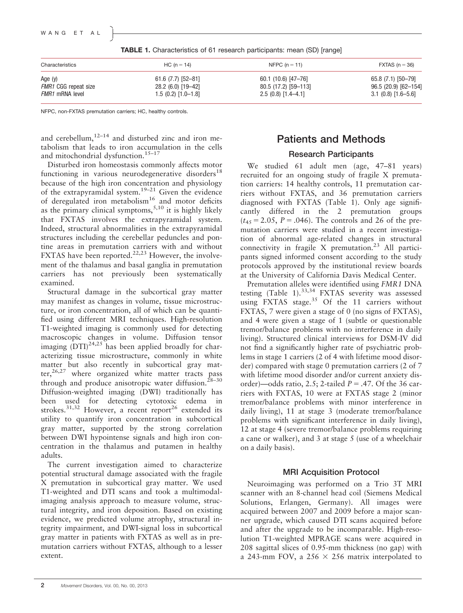#### WANG ET AL

| TABLE 1. Characteristics of 61 research participants: mean (SD) [range] |  |  |  |  |  |  |
|-------------------------------------------------------------------------|--|--|--|--|--|--|
|-------------------------------------------------------------------------|--|--|--|--|--|--|

| Characteristics             | $HC (n = 14)$       | NFPC $(n = 11)$      | $\textsf{FXTAS}$ (n = 36)   |  |  |
|-----------------------------|---------------------|----------------------|-----------------------------|--|--|
| Age $(y)$                   | $61.6(7.7)[52-81]$  | 60.1 (10.6) [47-76]  | 65.8 (7.1) [50-79]          |  |  |
| <b>FMR1 CGG repeat size</b> | 28.2 (6.0) [19-42]  | 80.5 (17.2) [59-113] | $96.5(20.9)[62-154]$        |  |  |
| FMR1 mRNA level             | $1.5(0.2)[1.0-1.8]$ | $2.5(0.8)[1.4-4.1]$  | $3.1 \ (0.8) \ [1.6 - 5.6]$ |  |  |

NFPC, non-FXTAS premutation carriers; HC, healthy controls.

and cerebellum, $12-14$  and disturbed zinc and iron metabolism that leads to iron accumulation in the cells and mitochondrial dysfunction.<sup>15–17</sup>

Disturbed iron homeostasis commonly affects motor functioning in various neurodegenerative disorders<sup>18</sup> because of the high iron concentration and physiology of the extrapyramidal system.<sup>19–21</sup> Given the evidence of deregulated iron metabolism<sup>16</sup> and motor deficits as the primary clinical symptoms,  $5,10$  it is highly likely that FXTAS involves the extrapyramidal system. Indeed, structural abnormalities in the extrapyramidal structures including the cerebellar peduncles and pontine areas in premutation carriers with and without FXTAS have been reported.<sup>22,23</sup> However, the involvement of the thalamus and basal ganglia in premutation carriers has not previously been systematically examined.

Structural damage in the subcortical gray matter may manifest as changes in volume, tissue microstructure, or iron concentration, all of which can be quantified using different MRI techniques. High-resolution T1-weighted imaging is commonly used for detecting macroscopic changes in volume. Diffusion tensor imaging  $(DTI)^{24,25}$  has been applied broadly for characterizing tissue microstructure, commonly in white matter but also recently in subcortical gray matter, $26,27$  where organized white matter tracts pass through and produce anisotropic water diffusion. $28-30$ Diffusion-weighted imaging (DWI) traditionally has been used for detecting cytotoxic edema in strokes.<sup>31,32</sup> However, a recent report<sup>26</sup> extended its utility to quantify iron concentration in subcortical gray matter, supported by the strong correlation between DWI hypointense signals and high iron concentration in the thalamus and putamen in healthy adults.

The current investigation aimed to characterize potential structural damage associated with the fragile X premutation in subcortical gray matter. We used T1-weighted and DTI scans and took a multimodalimaging analysis approach to measure volume, structural integrity, and iron deposition. Based on existing evidence, we predicted volume atrophy, structural integrity impairment, and DWI-signal loss in subcortical gray matter in patients with FXTAS as well as in premutation carriers without FXTAS, although to a lesser extent.

# Patients and Methods

# Research Participants

We studied 61 adult men (age, 47–81 years) recruited for an ongoing study of fragile X premutation carriers: 14 healthy controls, 11 premutation carriers without FXTAS, and 36 premutation carriers diagnosed with FXTAS (Table 1). Only age significantly differed in the 2 premutation groups  $(t_{45} = 2.05, P = .046)$ . The controls and 26 of the premutation carriers were studied in a recent investigation of abnormal age-related changes in structural connectivity in fragile X premutation.<sup>23</sup> All participants signed informed consent according to the study protocols approved by the institutional review boards at the University of California Davis Medical Center.

Premutation alleles were identified using FMR1 DNA testing (Table 1).<sup>33,34</sup> FXTAS severity was assessed using FXTAS stage.<sup>35</sup> Of the 11 carriers without FXTAS, 7 were given a stage of 0 (no signs of FXTAS), and 4 were given a stage of 1 (subtle or questionable tremor/balance problems with no interference in daily living). Structured clinical interviews for DSM-IV did not find a significantly higher rate of psychiatric problems in stage 1 carriers (2 of 4 with lifetime mood disorder) compared with stage 0 premutation carriers (2 of 7 with lifetime mood disorder and/or current anxiety disorder)—odds ratio, 2.5; 2-tailed  $P = .47$ . Of the 36 carriers with FXTAS, 10 were at FXTAS stage 2 (minor tremor/balance problems with minor interference in daily living), 11 at stage 3 (moderate tremor/balance problems with significant interference in daily living), 12 at stage 4 (severe tremor/balance problems requiring a cane or walker), and 3 at stage 5 (use of a wheelchair on a daily basis).

## MRI Acquisition Protocol

Neuroimaging was performed on a Trio 3T MRI scanner with an 8-channel head coil (Siemens Medical Solutions, Erlangen, Germany). All images were acquired between 2007 and 2009 before a major scanner upgrade, which caused DTI scans acquired before and after the upgrade to be incomparable. High-resolution T1-weighted MPRAGE scans were acquired in 208 sagittal slices of 0.95-mm thickness (no gap) with a 243-mm FOV, a 256  $\times$  256 matrix interpolated to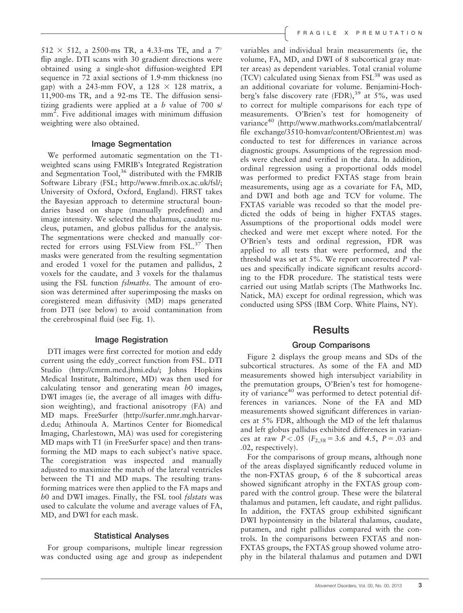$512 \times 512$ , a 2500-ms TR, a 4.33-ms TE, and a 7° flip angle. DTI scans with 30 gradient directions were obtained using a single-shot diffusion-weighted EPI sequence in 72 axial sections of 1.9-mm thickness (no gap) with a 243-mm FOV, a  $128 \times 128$  matrix, a 11,900-ms TR, and a 92-ms TE. The diffusion sensitizing gradients were applied at a  $b$  value of 700 s/ mm<sup>2</sup>. Five additional images with minimum diffusion weighting were also obtained.

#### Image Segmentation

We performed automatic segmentation on the T1 weighted scans using FMRIB's Integrated Registration and Segmentation  $Tool<sup>36</sup>$ , distributed with the FMRIB Software Library (FSL;<http://www.fmrib.ox.ac.uk/fsl/>; University of Oxford, Oxford, England). FIRST takes the Bayesian approach to determine structural boundaries based on shape (manually predefined) and image intensity. We selected the thalamus, caudate nucleus, putamen, and globus pallidus for the analysis. The segmentations were checked and manually corrected for errors using FSLView from FSL.<sup>37</sup> Then masks were generated from the resulting segmentation and eroded 1 voxel for the putamen and pallidus, 2 voxels for the caudate, and 3 voxels for the thalamus using the FSL function *fslmaths*. The amount of erosion was determined after superimposing the masks on coregistered mean diffusivity (MD) maps generated from DTI (see below) to avoid contamination from the cerebrospinal fluid (see Fig. 1).

#### Image Registration

DTI images were first corrected for motion and eddy current using the eddy\_correct function from FSL. DTI Studio ([http://cmrm.med.jhmi.edu/;](http://cmrm.med.jhmi.edu/) Johns Hopkins Medical Institute, Baltimore, MD) was then used for calculating tensor and generating mean  $b0$  images, DWI images (ie, the average of all images with diffusion weighting), and fractional anisotropy (FA) and MD maps. FreeSurfer [\(http://surfer.nmr.mgh.harvar](http://surfer.nmr.mgh.harvard.edu)[d.edu;](http://surfer.nmr.mgh.harvard.edu) Athinoula A. Martinos Center for Biomedical Imaging, Charlestown, MA) was used for coregistering MD maps with T1 (in FreeSurfer space) and then transforming the MD maps to each subject's native space. The coregistration was inspected and manually adjusted to maximize the match of the lateral ventricles between the T1 and MD maps. The resulting transforming matrices were then applied to the FA maps and b0 and DWI images. Finally, the FSL tool fslstats was used to calculate the volume and average values of FA, MD, and DWI for each mask.

#### Statistical Analyses

For group comparisons, multiple linear regression was conducted using age and group as independent variables and individual brain measurements (ie, the volume, FA, MD, and DWI of 8 subcortical gray matter areas) as dependent variables. Total cranial volume (TCV) calculated using Sienax from FSL<sup>38</sup> was used as an additional covariate for volume. Benjamini-Hochberg's false discovery rate  $(FDR)$ ,  $39$  at 5%, was used to correct for multiple comparisons for each type of measurements. O'Brien's test for homogeneity of variance<sup>40</sup> [\(http://www.mathworks.com/matlabcentral/](http://www.mathworks.com/matlabcentral/fileexchange/3510-homvar/content/OBrientest.m) [file exchange/3510-homvar/content/OBrientest.m\)](http://www.mathworks.com/matlabcentral/fileexchange/3510-homvar/content/OBrientest.m) was conducted to test for differences in variance across diagnostic groups. Assumptions of the regression models were checked and verified in the data. In addition, ordinal regression using a proportional odds model was performed to predict FXTAS stage from brain measurements, using age as a covariate for FA, MD, and DWI and both age and TCV for volume. The FXTAS variable was recoded so that the model predicted the odds of being in higher FXTAS stages. Assumptions of the proportional odds model were checked and were met except where noted. For the O'Brien's tests and ordinal regression, FDR was applied to all tests that were performed, and the threshold was set at 5%. We report uncorrected P values and specifically indicate significant results according to the FDR procedure. The statistical tests were carried out using Matlab scripts (The Mathworks Inc. Natick, MA) except for ordinal regression, which was conducted using SPSS (IBM Corp. White Plains, NY).

### **Results**

#### Group Comparisons

Figure 2 displays the group means and SDs of the subcortical structures. As some of the FA and MD measurements showed high intersubject variability in the premutation groups, O'Brien's test for homogeneity of variance<sup>40</sup> was performed to detect potential differences in variances. None of the FA and MD measurements showed significant differences in variances at 5% FDR, although the MD of the left thalamus and left globus pallidus exhibited differences in variances at raw  $P < .05$  ( $F_{2,58} = 3.6$  and 4.5,  $P = .03$  and .02, respectively).

For the comparisons of group means, although none of the areas displayed significantly reduced volume in the non-FXTAS group, 6 of the 8 subcortical areas showed significant atrophy in the FXTAS group compared with the control group. These were the bilateral thalamus and putamen, left caudate, and right pallidus. In addition, the FXTAS group exhibited significant DWI hypointensity in the bilateral thalamus, caudate, putamen, and right pallidus compared with the controls. In the comparisons between FXTAS and non-FXTAS groups, the FXTAS group showed volume atrophy in the bilateral thalamus and putamen and DWI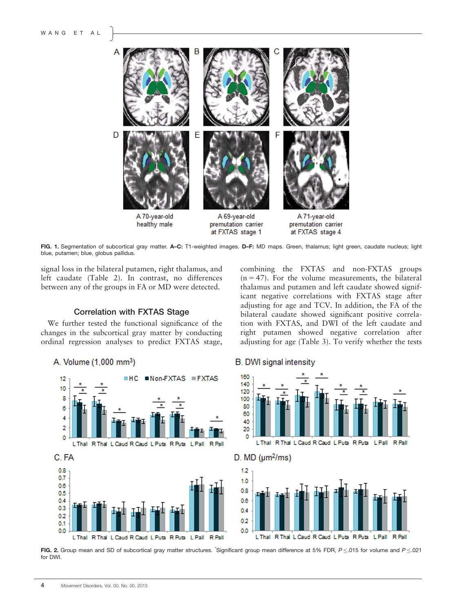

FIG. 1. Segmentation of subcortical gray matter. A-C: T1-weighted images. D-F: MD maps. Green, thalamus; light green, caudate nucleus; light blue, putamen; blue, globus pallidus.

signal loss in the bilateral putamen, right thalamus, and left caudate (Table 2). In contrast, no differences between any of the groups in FA or MD were detected.

#### Correlation with FXTAS Stage

We further tested the functional significance of the changes in the subcortical gray matter by conducting ordinal regression analyses to predict FXTAS stage,

A. Volume (1,000 mm<sup>3</sup>)



#### **B.** DWI signal intensity





FIG. 2. Group mean and SD of subcortical gray matter structures. Significant group mean difference at 5% FDR,  $P \le 0.015$  for volume and  $P \le 0.021$ for DWI.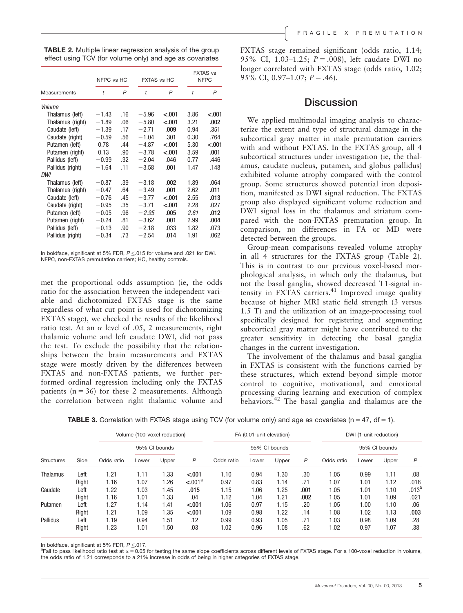| <b>TABLE 2.</b> Multiple linear regression analysis of the group |  |
|------------------------------------------------------------------|--|
| effect using TCV (for volume only) and age as covariates         |  |

|                  | NFPC vs HC |     | <b>FXTAS vs HC</b> |         | <b>FXTAS vs</b><br><b>NFPC</b> |         |
|------------------|------------|-----|--------------------|---------|--------------------------------|---------|
| Measurements     | t          | P   | $\ddot{}$          | P       | $\dot{t}$                      | P       |
| Volume           |            |     |                    |         |                                |         |
| Thalamus (left)  | $-1.43$    | .16 | $-5.96$            | $-.001$ | 3.86                           | $-.001$ |
| Thalamus (right) | $-1.89$    | .06 | $-5.80$            | < .001  | 3.21                           | .002    |
| Caudate (left)   | $-1.39$    | .17 | $-2.71$            | .009    | 0.94                           | .351    |
| Caudate (right)  | $-0.59$    | .56 | $-1.04$            | .301    | 0.30                           | .764    |
| Putamen (left)   | 0.78       | .44 | $-4.87$            | $-.001$ | 5.30                           | $-.001$ |
| Putamen (right)  | 0.13       | .90 | $-3.78$            | < 0.01  | 3.59                           | .001    |
| Pallidus (left)  | $-0.99$    | .32 | $-2.04$            | .046    | 0.77                           | .446    |
| Pallidus (right) | $-1.64$    | .11 | $-3.58$            | .001    | 1.47                           | .148    |
| DWI              |            |     |                    |         |                                |         |
| Thalamus (left)  | $-0.87$    | .39 | $-3.18$            | .002    | 1.89                           | .064    |
| Thalamus (right) | $-0.47$    | .64 | $-3.49$            | .001    | 2.62                           | .011    |
| Caudate (left)   | $-0.76$    | .45 | $-3.77$            | < 0.01  | 2.55                           | .013    |
| Caudate (right)  | $-0.95$    | .35 | $-3.71$            | $-.001$ | 2.28                           | .027    |
| Putamen (left)   | $-0.05$    | .96 | $-2.95$            | .005    | 2.61                           | .012    |
| Putamen (right)  | $-0.24$    | .81 | $-3.62$            | .001    | 2.99                           | .004    |
| Pallidus (left)  | $-0.13$    | .90 | $-2.18$            | .033    | 1.82                           | .073    |
| Pallidus (right) | $-0.34$    | .73 | $-2.54$            | .014    | 1.91                           | .062    |

In boldface, significant at 5% FDR,  $P < 0.015$  for volume and .021 for DWI. NFPC, non-FXTAS premutation carriers; HC, healthy controls.

met the proportional odds assumption (ie, the odds ratio for the association between the independent variable and dichotomized FXTAS stage is the same regardless of what cut point is used for dichotomizing FXTAS stage), we checked the results of the likelihood ratio test. At an  $\alpha$  level of .05, 2 measurements, right thalamic volume and left caudate DWI, did not pass the test. To exclude the possibility that the relationships between the brain measurements and FXTAS stage were mostly driven by the differences between FXTAS and non-FXTAS patients, we further performed ordinal regression including only the FXTAS patients  $(n = 36)$  for these 2 measurements. Although the correlation between right thalamic volume and FXTAS stage remained significant (odds ratio, 1.14; 95% CI, 1.03-1.25;  $P = .008$ ), left caudate DWI no longer correlated with FXTAS stage (odds ratio, 1.02; 95% CI, 0.97-1.07;  $P = .46$ ).

## **Discussion**

We applied multimodal imaging analysis to characterize the extent and type of structural damage in the subcortical gray matter in male premutation carriers with and without FXTAS. In the FXTAS group, all 4 subcortical structures under investigation (ie, the thalamus, caudate nucleus, putamen, and globus pallidus) exhibited volume atrophy compared with the control group. Some structures showed potential iron deposition, manifested as DWI signal reduction. The FXTAS group also displayed significant volume reduction and DWI signal loss in the thalamus and striatum compared with the non-FXTAS premutation group. In comparison, no differences in FA or MD were detected between the groups.

Group-mean comparisons revealed volume atrophy in all 4 structures for the FXTAS group (Table 2). This is in contrast to our previous voxel-based morphological analysis, in which only the thalamus, but not the basal ganglia, showed decreased T1-signal intensity in FXTAS carriers.<sup>41</sup> Improved image quality because of higher MRI static field strength (3 versus 1.5 T) and the utilization of an image-processing tool specifically designed for registering and segmenting subcortical gray matter might have contributed to the greater sensitivity in detecting the basal ganglia changes in the current investigation.

The involvement of the thalamus and basal ganglia in FXTAS is consistent with the functions carried by these structures, which extend beyond simple motor control to cognitive, motivational, and emotional processing during learning and execution of complex behaviors.<sup>42</sup> The basal ganglia and thalamus are the

**TABLE 3.** Correlation with FXTAS stage using TCV (for volume only) and age as covariates ( $n = 47$ , df = 1).

|                   | Side  | Volume (100-voxel reduction) |               |       | FA (0.01-unit elevation) |            |               |       | DWI (1-unit reduction) |            |               |       |              |
|-------------------|-------|------------------------------|---------------|-------|--------------------------|------------|---------------|-------|------------------------|------------|---------------|-------|--------------|
|                   |       | Odds ratio                   | 95% CI bounds |       |                          |            | 95% CI bounds |       |                        |            | 95% CI bounds |       |              |
| <b>Structures</b> |       |                              | Lower         | Upper | $\mathsf{P}$             | Odds ratio | Lower         | Upper | P                      | Odds ratio | Lower         | Upper | $\mathsf{P}$ |
| Thalamus          | Left  | 1.21                         | 1.11          | 1.33  | < .001                   | 1.10       | 0.94          | 1.30  | .30                    | 1.05       | 0.99          | 1.11  | .08          |
|                   | Right | 1.16                         | 1.07          | 1.26  | $-.001a$                 | 0.97       | 0.83          | 1.14  | .71                    | 1.07       | 1.01          | 1.12  | .018         |
| Caudate           | Left  | 1.22                         | 1.03          | 1.45  | .015                     | 1.15       | 1.06          | 1.25  | .001                   | 1.05       | 1.01          | 1.10  | $.013^{a}$   |
|                   | Right | 1.16                         | 1.01          | 1.33  | .04                      | 1.12       | 1.04          | 1.21  | .002                   | 1.05       | 1.01          | 1.09  | .021         |
| Putamen           | Left  | 1.27                         | 1.14          | 1.41  | < .001                   | 1.06       | 0.97          | 1.15  | .20                    | 1.05       | 1.00          | 1.10  | .06          |
|                   | Right | 1.21                         | 1.09          | 1.35  | < .001                   | 1.09       | 0.98          | 1.22  | .14                    | 1.08       | 1.02          | 1.13  | .003         |
| Pallidus          | Left  | 1.19                         | 0.94          | 1.51  | .12                      | 0.99       | 0.93          | 1.05  | .71                    | 1.03       | 0.98          | 1.09  | .28          |
|                   | Right | 1.23                         | 1.01          | 1.50  | .03                      | 1.02       | 0.96          | 1.08  | .62                    | 1.02       | 0.97          | 1.07  | .38          |

In boldface, significant at 5% FDR,  $P \le 017$ .

 $^{\text{a}}$ Fail to pass likelihood ratio test at  $\alpha$  = 0.05 for testing the same slope coefficients across different levels of FXTAS stage. For a 100-voxel reduction in volume, the odds ratio of 1.21 corresponds to a 21% increase in odds of being in higher categories of FXTAS stage.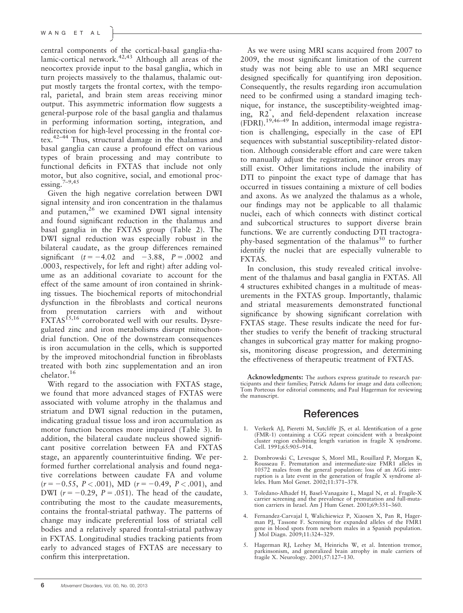central components of the cortical-basal ganglia-thalamic-cortical network.<sup>42,43</sup> Although all areas of the neocortex provide input to the basal ganglia, which in turn projects massively to the thalamus, thalamic output mostly targets the frontal cortex, with the temporal, parietal, and brain stem areas receiving minor output. This asymmetric information flow suggests a general-purpose role of the basal ganglia and thalamus in performing information sorting, integration, and redirection for high-level processing in the frontal cortex.42–44 Thus, structural damage in the thalamus and basal ganglia can cause a profound effect on various types of brain processing and may contribute to functional deficits in FXTAS that include not only motor, but also cognitive, social, and emotional processing. $7-9,45$ 

Given the high negative correlation between DWI signal intensity and iron concentration in the thalamus and putamen, $26$  we examined DWI signal intensity and found significant reduction in the thalamus and basal ganglia in the FXTAS group (Table 2). The DWI signal reduction was especially robust in the bilateral caudate, as the group differences remained significant  $(t = -4.02$  and  $-3.88$ ,  $P = .0002$  and .0003, respectively, for left and right) after adding volume as an additional covariate to account for the effect of the same amount of iron contained in shrinking tissues. The biochemical reports of mitochondrial dysfunction in the fibroblasts and cortical neurons from premutation carriers with and without FXTAS<sup>15,16</sup> corroborated well with our results. Dysregulated zinc and iron metabolisms disrupt mitochondrial function. One of the downstream consequences is iron accumulation in the cells, which is supported by the improved mitochondrial function in fibroblasts treated with both zinc supplementation and an iron chelator.<sup>16</sup>

With regard to the association with FXTAS stage, we found that more advanced stages of FXTAS were associated with volume atrophy in the thalamus and striatum and DWI signal reduction in the putamen, indicating gradual tissue loss and iron accumulation as motor function becomes more impaired (Table 3). In addition, the bilateral caudate nucleus showed significant positive correlation between FA and FXTAS stage, an apparently counterintuitive finding. We performed further correlational analysis and found negative correlations between caudate FA and volume  $(r = -0.55, P < .001)$ , MD  $(r = -0.49, P < .001)$ , and DWI  $(r = -0.29, P = .051)$ . The head of the caudate, contributing the most to the caudate measurements, contains the frontal-striatal pathway. The patterns of change may indicate preferential loss of striatal cell bodies and a relatively spared frontal-striatal pathway in FXTAS. Longitudinal studies tracking patients from early to advanced stages of FXTAS are necessary to confirm this interpretation.

As we were using MRI scans acquired from 2007 to 2009, the most significant limitation of the current study was not being able to use an MRI sequence designed specifically for quantifying iron deposition. Consequently, the results regarding iron accumulation need to be confirmed using a standard imaging technique, for instance, the susceptibility-weighted imaging, R2\* , and field-dependent relaxation increase  $(FDRI).$ <sup>19,46–49</sup> In addition, intermodal image registration is challenging, especially in the case of EPI sequences with substantial susceptibility-related distortion. Although considerable effort and care were taken to manually adjust the registration, minor errors may still exist. Other limitations include the inability of DTI to pinpoint the exact type of damage that has occurred in tissues containing a mixture of cell bodies and axons. As we analyzed the thalamus as a whole, our findings may not be applicable to all thalamic nuclei, each of which connects with distinct cortical and subcortical structures to support diverse brain functions. We are currently conducting DTI tractography-based segmentation of the thalamus<sup>50</sup> to further identify the nuclei that are especially vulnerable to FXTAS.

In conclusion, this study revealed critical involvement of the thalamus and basal ganglia in FXTAS. All 4 structures exhibited changes in a multitude of measurements in the FXTAS group. Importantly, thalamic and striatal measurements demonstrated functional significance by showing significant correlation with FXTAS stage. These results indicate the need for further studies to verify the benefit of tracking structural changes in subcortical gray matter for making prognosis, monitoring disease progression, and determining the effectiveness of therapeutic treatment of FXTAS.

Acknowledgments: The authors express gratitude to research participants and their families; Patrick Adams for image and data collection; Tom Porteous for editorial comments; and Paul Hagerman for reviewing the manuscript.

## **References**

- 1. Verkerk AJ, Pieretti M, Sutcliffe JS, et al. Identification of a gene (FMR-1) containing a CGG repeat coincident with a breakpoint cluster region exhibiting length variation in fragile X syndrome. Cell. 1991;65:905–914.
- 2. Dombrowski C, Levesque S, Morel ML, Rouillard P, Morgan K, Rousseau F. Premutation and intermediate-size FMR1 alleles in 10572 males from the general population: loss of an AGG interruption is a late event in the generation of fragile X syndrome alleles. Hum Mol Genet. 2002;11:371–378.
- 3. Toledano-Alhadef H, Basel-Vanagaite L, Magal N, et al. Fragile-X carrier screening and the prevalence of premutation and full-muta-tion carriers in Israel. Am J Hum Genet. 2001;69:351–360.
- 4. Fernandez-Carvajal I, Walichiewicz P, Xiaosen X, Pan R, Hager-man PJ, Tassone F. Screening for expanded alleles of the FMR1 gene in blood spots from newborn males in a Spanish population. J Mol Diagn. 2009;11:324–329.
- 5. Hagerman RJ, Leehey M, Heinrichs W, et al. Intention tremor, parkinsonism, and generalized brain atrophy in male carriers of fragile X. Neurology. 2001;57:127–130.